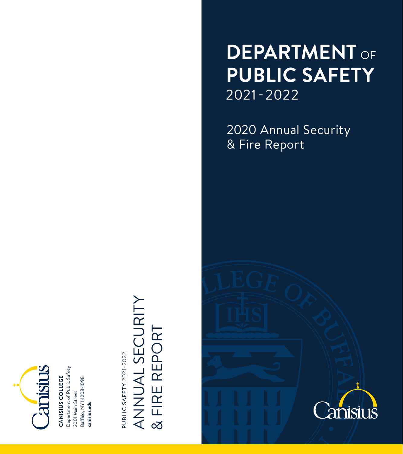

Department of Public Safety Department of Public Safety CANISIUS COLLEGE **CANISIUS COLLEGE** 

Buffalo, NY 14208-1098 Buffalo, NY 14208-1098 2001 Main Street 2001 Main Street canisius.edu **canisius.edu**

**PUBLIC SAFETY 2021-2022** PUBLIC SAFETY 2021-2022

# ANNUAL SECURITY ANNUAL SECURITY & FIRE REPORT & FIRE REPORT

## **DEPARTMENT** OF **PUBLIC SAFETY** 2021-2022

2020 Annual Security & Fire Report

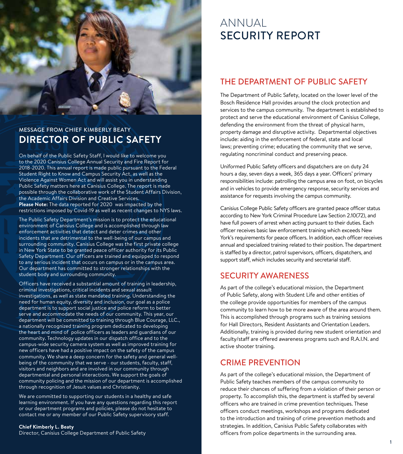

## MESSAGE FROM CHIEF KIMBERLY BEATY **DIRECTOR OF PUBLIC SAFETY**

On behalf of the Public Safety Staff, I would like to welcome you to the 2020 Canisius College Annual Security and Fire Report for 2018-2020. This annual report is made public pursuant to the Federal Student Right to Know and Campus Security Act, as well as the Violence Against Women Act and will assist you in understanding Public Safety matters here at Canisius College. The report is made possible through the collaborative work of the Student Affairs Division, the Academic Affairs Division and Creative Services. **Please Note:** The data reported for 2020 was impacted by the restrictions imposed by Covid-19 as well as recent changes to NYS laws.

The Public Safety Department's mission is to protect the educational environment of Canisius College and is accomplished through law enforcement activities that detect and deter crimes and other incidents that are detrimental to the well-being of our campus and surrounding community. Canisius College was the first private college in New York State to be granted peace officer authority for its Public Safety Department. Our officers are trained and equipped to respond to any serious incident that occurs on campus or in the campus area. Our department has committed to stronger relationships with the student body and surrounding community.

Officers have received a substantial amount of training in leadership, criminal investigations, critical incidents and sexual assault investigations, as well as state mandated training. Understanding the need for human equity, diversity and inclusion, our goal as a police department is to support social justice and police reform to better serve and accommodate the needs of our community. This year, our department will be committed to training through Blue Courage, LLC., a nationally recognized training program dedicated to developing the heart and mind of police officers as leaders and guardians of our community. Technology updates in our dispatch office and to the campus-wide security camera system as well as improved training for new officers have had a positive impact on the safety of the campus community. We share a deep concern for the safety and general wellbeing of the community that we serve - our students, faculty, staff, visitors and neighbors and are involved in our community through departmental and personal interactions. We support the goals of community policing and the mission of our department is accomplished through recognition of Jesuit values and Christianity.

We are committed to supporting our students in a healthy and safe learning environment. If you have any questions regarding this report or our department programs and policies, please do not hesitate to contact me or any member of our Public Safety supervisory staff.

#### **Chief Kimberly L. Beaty**

Director, Canisius College Department of Public Safety

## ANNUAL SECURITY REPORT

## THE DEPARTMENT OF PUBLIC SAFETY

The Department of Public Safety, located on the lower level of the Bosch Residence Hall provides around the clock protection and services to the campus community. The department is established to protect and serve the educational environment of Canisius College, defending the environment from the threat of physical harm, property damage and disruptive activity. Departmental objectives include: aiding in the enforcement of federal, state and local laws; preventing crime; educating the community that we serve, regulating noncriminal conduct and preserving peace.

Uniformed Public Safety officers and dispatchers are on duty 24 hours a day, seven days a week, 365 days a year. Officers' primary responsibilities include: patrolling the campus area on foot, on bicycles and in vehicles to provide emergency response, security services and assistance for requests involving the campus community.

Canisius College Public Safety officers are granted peace officer status according to New York Criminal Procedure Law Section 2.10(72), and have full powers of arrest when acting pursuant to their duties. Each officer receives basic law enforcement training which exceeds New York's requirements for peace officers. In addition, each officer receives annual and specialized training related to their position. The department is staffed by a director, patrol supervisors, officers, dispatchers, and support staff, which includes security and secretarial staff.

### SECURITY AWARENESS

As part of the college's educational mission, the Department of Public Safety, along with Student Life and other entities of the college provide opportunities for members of the campus community to learn how to be more aware of the area around them. This is accomplished through programs such as training sessions for Hall Directors, Resident Assistants and Orientation Leaders. Additionally, training is provided during new student orientation and faculty/staff are offered awareness programs such and R.A.I.N. and active shooter training.

## CRIME PREVENTION

As part of the college's educational mission, the Department of Public Safety teaches members of the campus community to reduce their chances of suffering from a violation of their person or property. To accomplish this, the department is staffed by several officers who are trained in crime prevention techniques. These officers conduct meetings, workshops and programs dedicated to the introduction and training of crime prevention methods and strategies. In addition, Canisius Public Safety collaborates with officers from police departments in the surrounding area.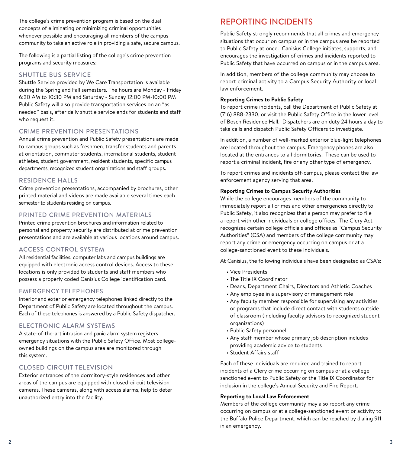The college's crime prevention program is based on the dual concepts of eliminating or minimizing criminal opportunities whenever possible and encouraging all members of the campus community to take an active role in providing a safe, secure campus.

The following is a partial listing of the college's crime prevention programs and security measures:

#### SHUTTLE BUS SERVICE

Shuttle Service provided by We Care Transportation is available during the Spring and Fall semesters. The hours are Monday - Friday 6:30 AM to 10:30 PM and Saturday - Sunday 12:00 PM-10:00 PM Public Safety will also provide transportation services on an "as needed" basis, after daily shuttle service ends for students and staff who request it.

#### CRIME PREVENTION PRESENTATIONS

Annual crime prevention and Public Safety presentations are made to campus groups such as freshmen, transfer students and parents at orientation, commuter students, international students, student athletes, student government, resident students, specific campus departments, recognized student organizations and staff groups.

#### RESIDENCE HALLS

Crime prevention presentations, accompanied by brochures, other printed material and videos are made available several times each semester to students residing on campus.

#### PRINTED CRIME PREVENTION MATERIALS

Printed crime prevention brochures and information related to personal and property security are distributed at crime prevention presentations and are available at various locations around campus.

#### ACCESS CONTROL SYSTEM

All residential facilities, computer labs and campus buildings are equipped with electronic access control devices. Access to these locations is only provided to students and staff members who possess a properly coded Canisius College identification card.

#### EMERGENCY TELEPHONES

Interior and exterior emergency telephones linked directly to the Department of Public Safety are located throughout the campus. Each of these telephones is answered by a Public Safety dispatcher.

#### ELECTRONIC ALARM SYSTEMS

A state-of-the-art intrusion and panic alarm system registers emergency situations with the Public Safety Office. Most collegeowned buildings on the campus area are monitored through this system.

#### CLOSED CIRCUIT TELEVISION

Exterior entrances of the dormitory-style residences and other areas of the campus are equipped with closed-circuit television cameras. These cameras, along with access alarms, help to deter unauthorized entry into the facility.

## REPORTING INCIDENTS

Public Safety strongly recommends that all crimes and emergency situations that occur on campus or in the campus area be reported to Public Safety at once. Canisius College initiates, supports, and encourages the investigation of crimes and incidents reported to Public Safety that have occurred on campus or in the campus area.

In addition, members of the college community may choose to report criminal activity to a Campus Security Authority or local law enforcement.

#### **Reporting Crimes to Public Safety**

To report crime incidents, call the Department of Public Safety at (716) 888-2330, or visit the Public Safety Office in the lower level of Bosch Residence Hall. Dispatchers are on duty 24 hours a day to take calls and dispatch Public Safety Officers to investigate.

In addition, a number of well-marked exterior blue-light telephones are located throughout the campus. Emergency phones are also located at the entrances to all dormitories. These can be used to report a criminal incident, fire or any other type of emergency.

To report crimes and incidents off-campus, please contact the law enforcement agency serving that area.

#### **Reporting Crimes to Campus Security Authorities**

While the college encourages members of the community to immediately report all crimes and other emergencies directly to Public Safety, it also recognizes that a person may prefer to file a report with other individuals or college offices. The Clery Act recognizes certain college officials and offices as "Campus Security Authorities" (CSA) and members of the college community may report any crime or emergency occurring on campus or at a college-sanctioned event to these individuals.

At Canisius, the following individuals have been designated as CSA's:

- Vice Presidents
- The Title IX Coordinator
- Deans, Department Chairs, Directors and Athletic Coaches
- Any employee in a supervisory or management role
- Any faculty member responsible for supervising any activities or programs that include direct contact with students outside of classroom (including faculty advisors to recognized student organizations)
- Public Safety personnel
- Any staff member whose primary job description includes providing academic advice to students
- Student Affairs staff

Each of these individuals are required and trained to report incidents of a Clery crime occurring on campus or at a college sanctioned event to Public Safety or the Title IX Coordinator for inclusion in the college's Annual Security and Fire Report.

#### **Reporting to Local Law Enforcement**

Members of the college community may also report any crime occurring on campus or at a college-sanctioned event or activity to the Buffalo Police Department, which can be reached by dialing 911 in an emergency.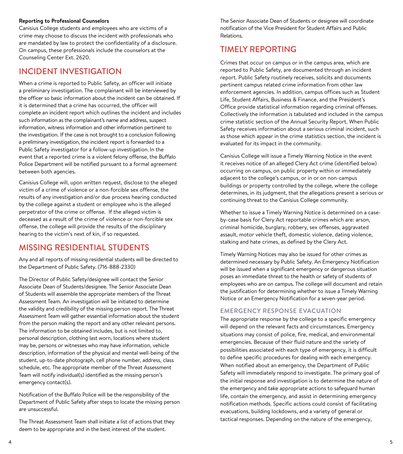#### **Reporting to Professional Counselors**

Canisius College students and employees who are victims of a crime may choose to discuss the incident with professionals who are mandated by law to protect the confidentiality of a disclosure. On campus, these professionals include the counselors at the Counseling Center Ext. 2620.

## INCIDENT INVESTIGATION

When a crime is reported to Public Safety, an officer will initiate a preliminary investigation. The complainant will be interviewed by the officer so basic information about the incident can be obtained. If it is determined that a crime has occurred, the officer will complete an incident report which outlines the incident and includes such information as the complainant's name and address, suspect information, witness information and other information pertinent to the investigation. If the case is not brought to a conclusion following a preliminary investigation, the incident report is forwarded to a Public Safety investigator for a follow-up investigation. In the event that a reported crime is a violent felony offense, the Buffalo Police Department will be notified pursuant to a formal agreement between both agencies.

Canisius College will, upon written request, disclose to the alleged victim of a crime of violence or a non-forcible sex offense, the results of any investigation and/or due process hearing conducted by the college against a student or employee who is the alleged perpetrator of the crime or offense. If the alleged victim is deceased as a result of the crime of violence or non-forcible sex offense, the college will provide the results of the disciplinary hearing to the victim's next of kin, if so requested.

## MISSING RESIDENTIAL STUDENTS

Any and all reports of missing residential students will be directed to the Department of Public Safety. (716-888-2330)

The Director of Public Safety/designee will contact the Senior Associate Dean of Students/designee. The Senior Associate Dean of Students will assemble the appropriate members of the Threat Assessment Team. An investigation will be initiated to determine the validity and credibility of the missing person report. The Threat Assessment Team will gather essential information about the student from the person making the report and any other relevant persons. The information to be obtained includes, but is not limited to, personal description, clothing last worn, locations where student may be, persons or witnesses who may have information, vehicle description, information of the physical and mental well-being of the student, up-to-date photograph, cell phone number, address, class schedule, etc. The appropriate member of the Threat Assessment Team will notify individual(s) identified as the missing person's emergency contact(s).

Notification of the Buffalo Police will be the responsibility of the Department of Public Safety after steps to locate the missing person are unsuccessful.

The Threat Assessment Team shall initiate a list of actions that they deem to be appropriate and in the best interest of the student.

The Senior Associate Dean of Students or designee will coordinate notification of the Vice President for Student Affairs and Public Relations.

## TIMELY REPORTING

Crimes that occur on campus or in the campus area, which are reported to Public Safety, are documented through an incident report. Public Safety routinely receives, solicits and documents pertinent campus related crime information from other law enforcement agencies. In addition, campus offices such as Student Life, Student Affairs, Business & Finance, and the President's Office provide statistical information regarding criminal offenses. Collectively the information is tabulated and included in the campus crime statistic section of the Annual Security Report. When Public Safety receives information about a serious criminal incident, such as those which appear in the crime statistics section, the incident is evaluated for its impact in the community.

Canisius College will issue a Timely Warning Notice in the event it receives notice of an alleged Clery Act crime (identified below) occurring on campus, on public property within or immediately adjacent to the college's campus, or in or on non-campus buildings or property controlled by the college, where the college determines, in its judgment, that the allegations present a serious or continuing threat to the Canisius College community.

Whether to issue a Timely Warning Notice is determined on a caseby-case basis for Clery Act reportable crimes which are: arson, criminal homicide, burglary, robbery, sex offenses, aggravated assault, motor vehicle theft, domestic violence, dating violence, stalking and hate crimes, as defined by the Clery Act.

Timely Warning Notices may also be issued for other crimes as determined necessary by Public Safety. An Emergency Notification will be issued when a significant emergency or dangerous situation poses an immediate threat to the health or safety of students of employees who are on campus. The college will document and retain the justification for determining whether to issue a Timely Warning Notice or an Emergency Notification for a seven-year period.

#### EMERGENCY RESPONSE EVACUATION

The appropriate response by the college to a specific emergency will depend on the relevant facts and circumstances. Emergency situations may consist of police, fire, medical, and environmental emergencies. Because of their fluid nature and the variety of possibilities associated with each type of emergency, it is difficult to define specific procedures for dealing with each emergency. When notified about an emergency, the Department of Public Safety will immediately respond to investigate. The primary goal of the initial response and investigation is to determine the nature of the emergency and take appropriate actions to safeguard human life, contain the emergency, and assist in determining emergency notification methods. Specific actions could consist of facilitating evacuations, building lockdowns, and a variety of general or tactical responses. Depending on the nature of the emergency,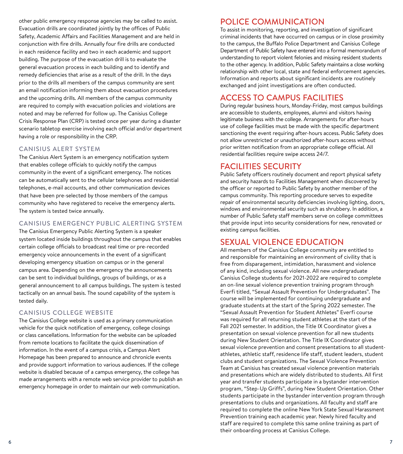other public emergency response agencies may be called to assist. Evacuation drills are coordinated jointly by the offices of Public Safety, Academic Affairs and Facilities Management and are held in conjunction with fire drills. Annually four fire drills are conducted in each residence facility and two in each academic and support building. The purpose of the evacuation drill is to evaluate the general evacuation process in each building and to identify and remedy deficiencies that arise as a result of the drill. In the days prior to the drills all members of the campus community are sent an email notification informing them about evacuation procedures and the upcoming drills. All members of the campus community are required to comply with evacuation policies and violations are noted and may be referred for follow up. The Canisius College Crisis Response Plan (CRP) is tested once per year during a disaster scenario tabletop exercise involving each official and/or department having a role or responsibility in the CRP.

#### CANISIUS ALERT SYSTEM

The Canisius Alert System is an emergency notification system that enables college officials to quickly notify the campus community in the event of a significant emergency. The notices can be automatically sent to the cellular telephones and residential telephones, e-mail accounts, and other communication devices that have been pre-selected by those members of the campus community who have registered to receive the emergency alerts. The system is tested twice annually.

#### CANISIUS EMERGENCY PUBLIC ALERTING SYSTEM

The Canisius Emergency Public Alerting System is a speaker system located inside buildings throughout the campus that enables certain college officials to broadcast real time or pre-recorded emergency voice announcements in the event of a significant developing emergency situation on campus or in the general campus area. Depending on the emergency the announcements can be sent to individual buildings, groups of buildings, or as a general announcement to all campus buildings. The system is tested tactically on an annual basis. The sound capability of the system is tested daily.

#### CANISIUS COLLEGE WEBSITE

The Canisius College website is used as a primary communication vehicle for the quick notification of emergency, college closings or class cancellations. Information for the website can be uploaded from remote locations to facilitate the quick dissemination of information. In the event of a campus crisis, a Campus Alert Homepage has been prepared to announce and chronicle events and provide support information to various audiences. If the college website is disabled because of a campus emergency, the college has made arrangements with a remote web service provider to publish an emergency homepage in order to maintain our web communication.

## POLICE COMMUNICATION

To assist in monitoring, reporting, and investigation of significant criminal incidents that have occurred on campus or in close proximity to the campus, the Buffalo Police Department and Canisius College Department of Public Safety have entered into a formal memorandum of understanding to report violent felonies and missing resident students to the other agency. In addition, Public Safety maintains a close working relationship with other local, state and federal enforcement agencies. Information and reports about significant incidents are routinely exchanged and joint investigations are often conducted.

## ACCESS TO CAMPUS FACILITIES

During regular business hours, Monday-Friday, most campus buildings are accessible to students, employees, alumni and visitors having legitimate business with the college. Arrangements for after-hours use of college facilities must be made with the specific department sanctioning the event requiring after-hours access. Public Safety does not allow unrestricted or unauthorized after-hours access without prior written notification from an appropriate college official. All residential facilities require swipe access 24/7.

## FACILITIES SECURITY

Public Safety officers routinely document and report physical safety and security hazards to Facilities Management when discovered by the officer or reported to Public Safety by another member of the campus community. This reporting procedure serves to expedite repair of environmental security deficiencies involving lighting, doors, windows and environmental security such as shrubbery. In addition, a number of Public Safety staff members serve on college committees that provide input into security considerations for new, renovated or existing campus facilities.

## SEXUAL VIOLENCE EDUCATION

All members of the Canisius College community are entitled to and responsible for maintaining an environment of civility that is free from disparagement, intimidation, harassment and violence of any kind, including sexual violence. All new undergraduate Canisius College students for 2021-2022 are required to complete an on-line sexual violence prevention training program through Everfi titled, "Sexual Assault Prevention for Undergraduates". The course will be implemented for continuing undergraduate and graduate students at the start of the Spring 2022 semester. The "Sexual Assault Prevention for Student Athletes" Everfi course was required for all returning student athletes at the start of the Fall 2021 semester. In addition, the Title IX Coordinator gives a presentation on sexual violence prevention for all new students during New Student Orientation. The Title IX Coordinator gives sexual violence prevention and consent presentations to all studentathletes, athletic staff, residence life staff, student leaders, student clubs and student organizations. The Sexual Violence Prevention Team at Canisius has created sexual violence prevention materials and presentations which are widely distributed to students. All first year and transfer students participate in a bystander intervention program, "Step-Up Griffs", during New Student Orientation. Other students participate in the bystander intervention program through presentations to clubs and organizations. All faculty and staff are required to complete the online New York State Sexual Harassment Prevention training each academic year. Newly hired faculty and staff are required to complete this same online training as part of their onboarding process at Canisius College.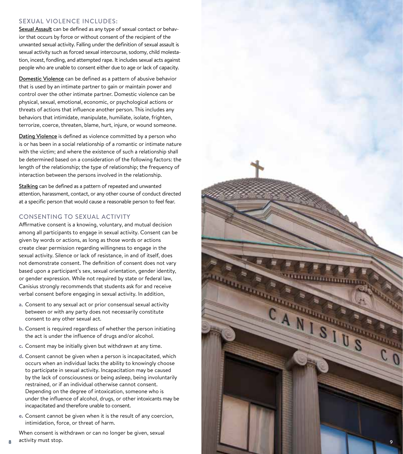#### SEXUAL VIOLENCE INCLUDES:

Sexual Assault can be defined as any type of sexual contact or behavior that occurs by force or without consent of the recipient of the unwanted sexual activity. Falling under the definition of sexual assault is sexual activity such as forced sexual intercourse, sodomy, child molesta tion, incest, fondling, and attempted rape. It includes sexual acts against people who are unable to consent either due to age or lack of capacity.

Domestic Violence can be defined as a pattern of abusive behavior that is used by an intimate partner to gain or maintain power and control over the other intimate partner. Domestic violence can be physical, sexual, emotional, economic, or psychological actions or threats of actions that influence another person. This includes any behaviors that intimidate, manipulate, humiliate, isolate, frighten, terrorize, coerce, threaten, blame, hurt, injure, or wound someone.

Dating Violence is defined as violence committed by a person who is or has been in a social relationship of a romantic or intimate nature with the victim; and where the existence of such a relationship shall be determined based on a consideration of the following factors: the length of the relationship; the type of relationship; the frequency of interaction between the persons involved in the relationship.

Stalking can be defined as a pattern of repeated and unwanted attention, harassment, contact, or any other course of conduct directed at a specific person that would cause a reasonable person to feel fear.

#### CONSENTING TO SEXUAL ACTIVITY

Affirmative consent is a knowing, voluntary, and mutual decision among all participants to engage in sexual activity. Consent can be given by words or actions, as long as those words or actions create clear permission regarding willingness to engage in the sexual activity. Silence or lack of resistance, in and of itself, does not demonstrate consent. The definition of consent does not vary based upon a participant's sex, sexual orientation, gender identity, or gender expression. While not required by state or federal law, Canisius strongly recommends that students ask for and receive verbal consent before engaging in sexual activity. In addition,

- **a**. Consent to any sexual act or prior consensual sexual activity between or with any party does not necessarily constitute consent to any other sexual act.
- **b.** Consent is required regardless of whether the person initiating the act is under the influence of drugs and/or alcohol.
- **c.** Consent may be initially given but withdrawn at any time.
- **d.** Consent cannot be given when a person is incapacitated, which occurs when an individual lacks the ability to knowingly choose to participate in sexual activity. Incapacitation may be caused by the lack of consciousness or being asleep, being involuntarily restrained, or if an individual otherwise cannot consent. Depending on the degree of intoxication, someone who is under the influence of alcohol, drugs, or other intoxicants may be incapacitated and therefore unable to consent.
- **e.** Consent cannot be given when it is the result of any coercion, intimidation, force, or threat of harm.

When consent is withdrawn or can no longer be given, sexual activity must stop.

8

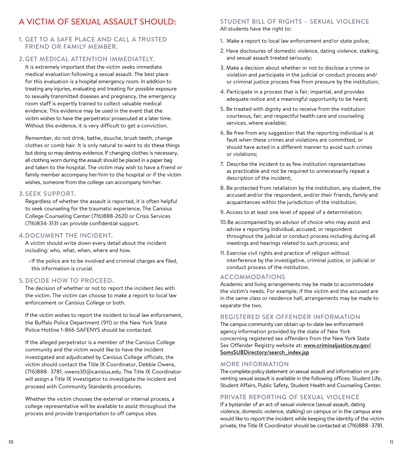## A VICTIM OF SEXUAL ASSAULT SHOULD:

#### 1. GET TO A SAFE PLACE AND CALL A TRUSTED FRIEND OR FAMILY MEMBER.

#### 2. GET MEDICAL ATTENTION IMMEDIATELY.

It is extremely important that the victim seeks immediate medical evaluation following a sexual assault. The best place for this evaluation is a hospital emergency room. In addition to treating any injuries, evaluating and treating for possible exposure to sexually transmitted diseases and pregnancy, the emergency room staff is expertly trained to collect valuable medical evidence. This evidence may be used in the event that the victim wishes to have the perpetrator prosecuted at a later time. Without this evidence, it is very difficult to get a conviction.

 Remember, do not drink, bathe, douche, brush teeth, change clothes or comb hair. It is only natural to want to do these things but doing so may destroy evidence. If changing clothes is necessary, all clothing worn during the assault should be placed in a paper bag and taken to the hospital. The victim may wish to have a friend or family member accompany her/him to the hospital or if the victim wishes, someone from the college can accompany him/her.

#### 3. SEEK SUPPORT.

Regardless of whether the assault is reported, it is often helpful to seek counseling for the traumatic experience. The Canisius College Counseling Center (716)888-2620 or Crisis Services (716)834-3131 can provide confidential support.

#### 4. DOCUMENT THE INCIDENT.

A victim should write down every detail about the incident including: who, what, when, where and how.

**•**If the police are to be involved and criminal charges are filed, this information is crucial.

#### 5. DECIDE HOW TO PROCEED.

The decision of whether or not to report the incident lies with the victim. The victim can choose to make a report to local law enforcement or Canisius College or both.

If the victim wishes to report the incident to local law enforcement, the Buffalo Police Department (911) or the New York State Police Hotline 1-866-SAFENYS should be contacted.

If the alleged perpetrator is a member of the Canisius College community and the victim would like to have the incident investigated and adjudicated by Canisius College officials, the victim should contact the Title IX Coordinator, Debbie Owens, (716)888- 3781, owens30@canisius.edu. The Title IX Coordinator will assign a Title IX investigator to investigate the incident and proceed with Community Standards procedures.

Whether the victim chooses the external or internal process, a college representative will be available to assist throughout the process and provide transportation to off campus sites.

#### STUDENT BILL OF RIGHTS – SEXUAL VIOLENCE

All students have the right to:

- 1. Make a report to local law enforcement and/or state police;
- 2. Have disclosures of domestic violence, dating violence, stalking, and sexual assault treated seriously;
- 3. Make a decision about whether or not to disclose a crime or violation and participate in the judicial or conduct process and/ or criminal justice process free from pressure by the institution;
- 4. Participate in a process that is fair, impartial, and provides adequate notice and a meaningful opportunity to be heard;
- 5. Be treated with dignity and to receive from the institution courteous, fair, and respectful health care and counseling services, where available;
- 6. Be free from any suggestion that the reporting individual is at fault when these crimes and violations are committed, or should have acted in a different manner to avoid such crimes or violations;
- 7. Describe the incident to as few institution representatives as practicable and not be required to unnecessarily repeat a description of the incident;
- 8. Be protected from retaliation by the institution, any student, the accused and/or the respondent, and/or their friends, family and acquaintances within the jurisdiction of the institution;
- 9. Access to at least one level of appeal of a determination;
- 10. Be accompanied by an advisor of choice who may assist and advise a reporting individual, accused, or respondent throughout the judicial or conduct process including during all meetings and hearings related to such process; and
- 11. Exercise civil rights and practice of religion without interference by the investigative, criminal justice, or judicial or conduct process of the institution.

#### ACCOMMODATIONS

Academic and living arrangements may be made to accommodate the victim's needs. For example, if the victim and the accused are in the same class or residence hall, arrangements may be made to separate the two.

#### REGISTERED SEX OFFENDER INFORMATION

The campus community can obtain up-to-date law enforcement agency information provided by the state of New York concerning registered sex offenders from the New York State Sex Offender Registry website at: www.criminaljustice.ny.gov/ SomsSUBDirectory/search\_index.jsp

#### MORE INFORMATION

The complete policy statement on sexual assault and information on preventing sexual assault is available in the following offices: Student Life, Student Affairs, Public Safety, Student Health and Counseling Center.

#### PRIVATE REPORTING OF SEXUAL VIOLENCE

If a bystander of an act of sexual violence (sexual assault, dating violence, domestic violence, stalking) on campus or in the campus area would like to report the incident while keeping the identity of the victim private, the Title IX Coordinator should be contacted at (716)888- 3781.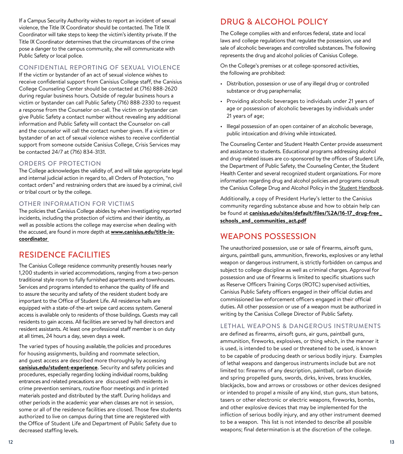If a Campus Security Authority wishes to report an incident of sexual violence, the Title IX Coordinator should be contacted. The Title IX Coordinator will take steps to keep the victim's identity private. If the Title IX Coordinator determines that the circumstances of the crime pose a danger to the campus community, she will communicate with Public Safety or local police.

#### CONFIDENTIAL REPORTING OF SEXUAL VIOLENCE

If the victim or bystander of an act of sexual violence wishes to receive confidential support from Canisius College staff, the Canisius College Counseling Center should be contacted at (716) 888-2620 during regular business hours. Outside of regular business hours a victim or bystander can call Public Safety (716) 888-2330 to request a response from the Counselor on-call. The victim or bystander can give Public Safety a contact number without revealing any additional information and Public Safety will contact the Counselor on-call and the counselor will call the contact number given. If a victim or bystander of an act of sexual violence wishes to receive confidential support from someone outside Canisius College, Crisis Services may be contacted 24/7 at (716) 834-3131.

#### ORDERS OF PROTECTION

The College acknowledges the validity of, and will take appropriate legal and internal judicial action in regard to, all Orders of Protection, "no contact orders" and restraining orders that are issued by a criminal, civil or tribal court or by the college.

#### OTHER INFORMATION FOR VICTIMS

The policies that Canisius College abides by when investigating reported incidents, including the protection of victims and their identity, as well as possible actions the college may exercise when dealing with the accused, are found in more depth at **www.canisius.edu/title-ixcoordinator** 

## RESIDENCE FACILITIES

The Canisius College residence community presently houses nearly 1,200 students in varied accommodations, ranging from a two-person traditional style room to fully furnished apartments and townhouses. Services and programs intended to enhance the quality of life and to assure the security and safety of the resident student body are important to the Office of Student Life. All residence halls are equipped with a state-of-the-art swipe card access system. General access is available only to residents of those buildings. Guests may call residents to gain access. All facilities are served by hall directors and resident assistants. At least one professional staff member is on duty at all times, 24 hours a day, seven days a week.

The varied types of housing available, the policies and procedures for housing assignments, building and roommate selection, and guest access are described more thoroughly by accessing **canisius.edu/student-experience**. Security and safety policies and procedures, especially regarding locking individual rooms, building entrances and related precautions are discussed with residents in crime prevention seminars, routine floor meetings and in printed materials posted and distributed by the staff. During holidays and other periods in the academic year when classes are not in session, some or all of the residence facilities are closed. Those few students authorized to live on campus during that time are registered with the Office of Student Life and Department of Public Safety due to decreased staffing levels.

## DRUG & ALCOHOL POLICY

The College complies with and enforces federal, state and local laws and college regulations that regulate the possession, use and sale of alcoholic beverages and controlled substances. The following represents the drug and alcohol policies of Canisius College.

On the College's premises or at college-sponsored activities, the following are prohibited:

- Distribution, possession or use of any illegal drug or controlled substance or drug paraphernalia;
- Providing alcoholic beverages to individuals under 21 years of age or possession of alcoholic beverages by individuals under 21 years of age;
- Illegal possession of an open container of an alcoholic beverage, public intoxication and driving while intoxicated.

The Counseling Center and Student Health Center provide assessment and assistance to students. Educational programs addressing alcohol and drug-related issues are co-sponsored by the offices of Student Life, the Department of Public Safety, the Counseling Center, the Student Health Center and several recognized student organizations. For more information regarding drug and alcohol policies and programs consult the Canisius College Drug and Alcohol Policy in the Student Handbook.

Additionally, a copy of President Hurley's letter to the Canisius community regarding substance abuse and how to obtain help can be found at **canisius.edu/sites/default/files/%2A/16-17\_drug-free\_ schools\_and\_communities\_act.pdf**

## WEAPONS POSSESSION

The unauthorized possession, use or sale of firearms, airsoft guns, airguns, paintball guns, ammunition, fireworks, explosives or any lethal weapon or dangerous instrument, is strictly forbidden on campus and subject to college discipline as well as criminal charges. Approval for possession and use of firearms is limited to specific situations such as Reserve Officers Training Corps (ROTC) supervised activities, Canisius Public Safety officers engaged in their official duties and commissioned law enforcement officers engaged in their official duties. All other possession or use of a weapon must be authorized in writing by the Canisius College Director of Public Safety.

#### LETHAL WEAPONS & DANGEROUS INSTRUMENTS

are defined as firearms, airsoft guns, air guns, paintball guns, ammunition, fireworks, explosives, or thing which, in the manner it is used, is intended to be used or threatened to be used, is known to be capable of producing death or serious bodily injury. Examples of lethal weapons and dangerous instruments include but are not limited to: firearms of any description, paintball, carbon dioxide and spring propelled guns, swords, dirks, knives, brass knuckles, blackjacks, bow and arrows or crossbows or other devices designed or intended to propel a missile of any kind, stun guns, stun batons, tasers or other electronic or electric weapons, fireworks, bombs, and other explosive devices that may be implemented for the infliction of serious bodily injury, and any other instrument deemed to be a weapon. This list is not intended to describe all possible weapons; final determination is at the discretion of the college.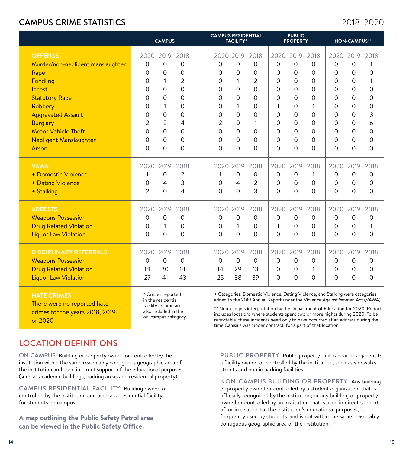## CAMPUS CRIME STATISTICS

2018-2020

|                                   | <b>CAMPUS</b>  |                |      | <b>CAMPUS RESIDENTIAL</b><br><b>FACILITY*</b> |                |                | <b>PUBLIC</b><br><b>PROPERTY</b> |                |          | <b>NON-CAMPUS**</b> |                |      |
|-----------------------------------|----------------|----------------|------|-----------------------------------------------|----------------|----------------|----------------------------------|----------------|----------|---------------------|----------------|------|
| <b>OFFENSE</b>                    | 2020           | 2019           | 2018 | 2020 2019                                     |                | 2018           | 2020                             | 2019           | 2018     | 2020                | 2019           | 2018 |
| Murder/non-negligent manslaughter | $\Omega$       | $\Omega$       | 0    | $\Omega$                                      | 0              | $\Omega$       | $\Omega$                         | $\Omega$       | 0        | $\Omega$            | 0              | 1    |
| Rape                              | 0              | $\overline{0}$ | 0    | $\Omega$                                      | 0              | 0              | $\mathbf 0$                      | $\mathbf 0$    | 0        | $\Omega$            | $\mathbf 0$    | 0    |
| Fondling                          | 0              | 1              | 2    | $\Omega$                                      | 1              | $\overline{2}$ | 0                                | $\Omega$       | 0        | 0                   | 0              | 1    |
| Incest                            | 0              | 0              | 0    | 0                                             | 0              | $\Omega$       | $\Omega$                         | $\overline{0}$ | $\Omega$ | $\Omega$            | 0              | 0    |
| <b>Statutory Rape</b>             | 0              | $\Omega$       | 0    | $\Omega$                                      | 0              | $\Omega$       | $\Omega$                         | $\Omega$       | 0        | $\Omega$            | 0              | 0    |
| Robbery                           | 0              | 1              | 0    | 0                                             | $\mathbf{1}$   | O              | 1                                | $\Omega$       | 1        | 0                   | $\Omega$       | 0    |
| <b>Aggravated Assault</b>         | 0              | 0              | 0    | 0                                             | 0              | $\Omega$       | 0                                | $\mathbf 0$    | 0        | $\Omega$            | 0              | 3    |
| <b>Burglary</b>                   | 2              | 2              | 4    | 2                                             | 0              | 1              | 0                                | $\Omega$       | 0        | $\Omega$            | 0              | 6    |
| <b>Motor Vehicle Theft</b>        | 0              | 0              | 0    | $\Omega$                                      | 0              | $\Omega$       | $\Omega$                         | $\mathbf 0$    | $\Omega$ | $\Omega$            | 0              | 0    |
| <b>Negligent Manslaughter</b>     | 0              | $\Omega$       | 0    | $\Omega$                                      | 0              | $\Omega$       | $\Omega$                         | $\Omega$       | 0        | $\Omega$            | 0              | 0    |
| Arson                             | 0              | 0              | 0    | $\Omega$                                      | 0              | $\Omega$       | $\Omega$                         | $\overline{0}$ | 0        | $\Omega$            | $\overline{0}$ | 0    |
| <b>VAWA</b>                       | 2020           | 2019           | 2018 | 2020 2019                                     |                | 2018           | 2020                             | 2019           | 2018     | 2020                | 2019           | 2018 |
| + Domestic Violence               | 1              | $\overline{0}$ | 2    | 1                                             | 0              | $\Omega$       | $\Omega$                         | $\mathbf 0$    | 1        | $\Omega$            | 0              | 0    |
| + Dating Violence                 | 0              | 4              | 3    | $\Omega$                                      | $\overline{4}$ | 2              | 0                                | $\Omega$       | 0        | $\Omega$            | $\Omega$       | 0    |
| + Stalking                        | $\overline{2}$ | 0              | 4    | 0                                             | 0              | 3              | 0                                | $\mathbf 0$    | 0        | $\Omega$            | $\mathbf 0$    | 0    |
| <b>ARRESTS</b>                    | 2020           | 2019           | 2018 | 2020 2019                                     |                | 2018           | 2020                             | 2019           | 2018     | 2020                | 2019           | 2018 |
| <b>Weapons Possession</b>         | 0              | $\Omega$       | 0    | $\Omega$                                      | 0              | $\Omega$       | $\Omega$                         | $\Omega$       | 0        | $\Omega$            | 0              | 0    |
| <b>Drug Related Violation</b>     | 0              | $\mathbf{1}$   | 0    | $\Omega$                                      | $\mathbf{1}$   | $\Omega$       | 1                                | $\Omega$       | 0        | $\Omega$            | $\Omega$       | 1    |
| <b>Liquor Law Violation</b>       | $\Omega$       | 0              | 0    | $\Omega$                                      | 0              | $\Omega$       | $\Omega$                         | $\Omega$       | $\Omega$ | $\Omega$            | 0              | 0    |
| <b>DISCIPLINARY REFERRALS</b>     | 2020           | 2019           | 2018 | 2020 2019                                     |                | 2018           | 2020                             | 2019           | 2018     | 2020                | 2019           | 2018 |
| <b>Weapons Possession</b>         | 0              | $\Omega$       | 0    | $\Omega$                                      | 0              | $\Omega$       | $\mathbf 0$                      | 0              | 0        | $\Omega$            | 0              | 0    |
| <b>Drug Related Violation</b>     | 14             | 30             | 14   | 14                                            | 29             | 13             | 0                                | 0              | 1        | 0                   | $\mathbf 0$    | 0    |
| <b>Liquor Law Violation</b>       | 27             | 41             | 43   | 25                                            | 38             | 39             | $\Omega$                         | $\overline{0}$ | 0        | $\Omega$            | $\Omega$       | 0    |
|                                   |                |                |      |                                               |                |                |                                  |                |          |                     |                |      |

**HATE CRIMES**

There were no reported hate crimes for the years 2018, 2019 or 2020

\* Crimes reported in the residential facility column are also included in the on-campus category.

+ Categories: Domestic Violence, Dating Violence, and Stalking were categories added to the 2019 Annual Report under the Violence Against Women Act (VAWA).

\*\* Non-campus interpretation by the Department of Education for 2020. Report includes locations where students spent two or more nights during 2020. To be reportable, these incidents need only to have occurred at an address during the time Canisius was 'under contract' for a part of that location.

## LOCATION DEFINITIONS

ON CAMPUS: Building or property owned or controlled by the institution within the same reasonably contiguous geographic area of the institution and used in direct support of the educational purposes (such as academic buildings, parking areas and residential property).

CAMPUS RESIDENTIAL FACILITY: Building owned or controlled by the institution and used as a residential facility for students on campus.

**A map outlining the Public Safety Patrol area can be viewed in the Public Safety Office.**

PUBLIC PROPERTY: Public property that is near or adjacent to a facility owned or controlled by the institution, such as sidewalks, streets and public parking facilities.

NON-CAMPUS BUILDING OR PROPERTY: Any building or property owned or controlled by a student organization that is officially recognized by the institution; or any building or property owned or controlled by an institution that is used in direct support of, or in relation to, the institution's educational purposes, is frequently used by students, and is not within the same reasonably contiguous geographic area of the institution.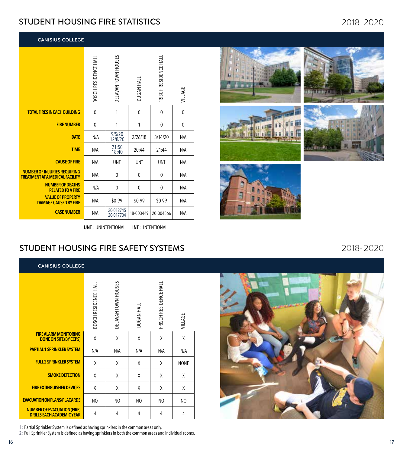## STUDENT HOUSING FIRE STATISTICS

**CANISIUS COLLEGE**

|                                                                               | BOSCH RESIDENCE HALL | DELAVAN TOWN HOUSES    | DUGAN HALI | FRISCH RESIDENCE HALL | VILLAGE      |
|-------------------------------------------------------------------------------|----------------------|------------------------|------------|-----------------------|--------------|
| <b>TOTAL FIRES IN EACH BUILDING</b>                                           | 0                    | 1                      | 0          | $\mathbf{0}$          | $\mathbf{0}$ |
| <b>FIRE NUMBER</b>                                                            | 0                    | 1                      | 1          | 0                     | 0            |
| <b>DATE</b>                                                                   | N/A                  | 9/5/20<br>12/8/20      | 2/26/18    | 3/14/20               | N/A          |
| <b>TIME</b>                                                                   | N/A                  | 21:50<br>18:40         | 20:44      | 21:44                 | N/A          |
| <b>CAUSE OF FIRE</b>                                                          | N/A                  | <b>UNT</b>             | <b>UNT</b> | <b>UNT</b>            | N/A          |
| <b>NUMBER OF INJURIES REQUIRING</b><br><b>TREATMENT AT A MEDICAL FACILITY</b> | N/A                  | $\Omega$               | $\Omega$   | $\mathbf{0}$          | N/A          |
| <b>NUMBER OF DEATHS</b><br><b>RELATED TO A FIRE</b>                           | N/A                  | $\mathbf{0}$           | 0          | $\mathbf{0}$          | N/A          |
| <b>VALUE OF PROPERTY</b><br><b>DAMAGE CAUSED BY FIRE</b>                      | N/A                  | \$0-99                 | \$0-99     | \$0-99                | N/A          |
| <b>CASE NUMBER</b>                                                            | N/A                  | 20-012745<br>20-017704 | 18-003449  | 20-004566             | N/A          |

**UNT** : UNINTENTIONAL **INT** : INTENTIONAL

## STUDENT HOUSING FIRE SAFETY SYSTEMS

| <b>CANISIUS COLLEGE</b>                                                |                      |                     |            |                       |                |
|------------------------------------------------------------------------|----------------------|---------------------|------------|-----------------------|----------------|
|                                                                        | BOSCH RESIDENCE HALL | DELAVAN TOWN HOUSES | DUGAN HALL | FRISCH RESIDENCE HALL | VILLAGE        |
| <b>FIRE ALARM MONITORING</b><br><b>DONE ON SITE (BY CCPS)</b>          | χ                    | χ                   | X          | χ                     | Χ              |
| <b>PARTIAL 1 SPRINKLER SYSTEM</b>                                      | N/A                  | N/A                 | N/A        | N/A                   | N/A            |
| <b>FULL 2 SPRINKLER SYSTEM</b>                                         | χ                    | χ                   | χ          | χ                     | <b>NONE</b>    |
| <b>SMOKE DETECTION</b>                                                 | X                    | χ                   | X          | χ                     | X              |
| <b>FIRE EXTINGUISHER DEVICES</b>                                       | X                    | χ                   | X          | χ                     | X              |
| <b>EVACUATION ON PLANS/PLACARDS</b>                                    | NO                   | N <sub>O</sub>      | NO         | N <sub>O</sub>        | N <sub>O</sub> |
| <b>NUMBER OF EVACUATION (FIRE)</b><br><b>DRILLS EACH ACADEMIC YEAR</b> | 4                    | 4                   | 4          | 4                     | 4              |

**1:** Partial Sprinkler System is defined as having sprinklers in the common areas only.

**2:** Full Sprinkler System is defined as having sprinklers in both the common areas and individual rooms.













16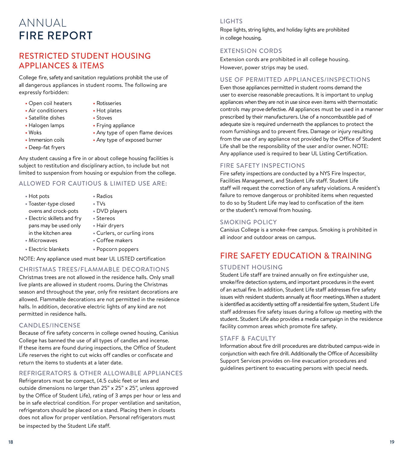## ANNUAL FIRE REPORT

## RESTRICTED STUDENT HOUSING APPLIANCES & ITEMS

College fire, safety and sanitation regulations prohibit the use of all dangerous appliances in student rooms. The following are expressly forbidden:

- **•** Open coil heaters **•** Rotisseries
- **•** Air conditioners **•** Hot plates
- **•** Satellite dishes **•** Stoves
- **•** Halogen lamps **•** Frying appliance
- 
- 
- **•** Deep-fat fryers
- 
- 
- 
- 
- 
- Woks **Any type of open flame devices**
- **•** Immersion coils **•** Any type of exposed burner

Any student causing a fire in or about college housing facilities is subject to restitution and disciplinary action, to include but not limited to suspension from housing or expulsion from the college.

#### ALLOWED FOR CAUTIOUS & LIMITED USE ARE:

- **•** Hot pots **•** Radios
- **•** Toaster-type closed **•** TVs ovens and crock-pots **•** DVD players
- **•** Electric skillets and fry **•** Stereos pans may be used only **•** Hair dryers in the kitchen area **•** Curlers, or curling irons
- **•** Microwaves **•** Coffee makers
- **•** Electric blankets **•** Popcorn poppers
	-

NOTE: Any appliance used must bear UL LISTED certification

#### CHRISTMAS TREES/FLAMMABLE DECORATIONS

Christmas trees are not allowed in the residence halls. Only small live plants are allowed in student rooms. During the Christmas season and throughout the year, only fire resistant decorations are allowed. Flammable decorations are not permitted in the residence halls. In addition, decorative electric lights of any kind are not permitted in residence halls.

#### CANDLES/INCENSE

Because of fire safety concerns in college owned housing, Canisius College has banned the use of all types of candles and incense. If these items are found during inspections, the Office of Student Life reserves the right to cut wicks off candles or confiscate and return the items to students at a later date.

#### REFRIGERATORS & OTHER ALLOWABLE APPLIANCES

Refrigerators must be compact, (4.5 cubic feet or less and outside dimensions no larger than 25" x 25" x 25", unless approved by the Office of Student Life), rating of 3 amps per hour or less and be in safe electrical condition. For proper ventilation and sanitation, refrigerators should be placed on a stand. Placing them in closets does not allow for proper ventilation. Personal refrigerators must be inspected by the Student Life staff.

#### **LIGHTS**

Rope lights, string lights, and holiday lights are prohibited in college housing.

#### EXTENSION CORDS

Extension cords are prohibited in all college housing. However, power strips may be used.

#### USE OF PERMITTED APPLIANCES/INSPECTIONS

Even those appliances permitted in student rooms demand the user to exercise reasonable precautions. It is important to unplug appliances when they are not in use since even items with thermostatic controls may prove defective. All appliances must be used in a manner prescribed by their manufacturers. Use of a noncombustible pad of adequate size is required underneath the appliances to protect the room furnishings and to prevent fires. Damage or injury resulting from the use of any appliance not provided by the Office of Student Life shall be the responsibility of the user and/or owner. NOTE: Any appliance used is required to bear UL Listing Certification.

#### FIRE SAFETY INSPECTIONS

Fire safety inspections are conducted by a NYS Fire Inspector, Facilities Management, and Student Life staff. Student Life staff will request the correction of any safety violations. A resident's failure to remove dangerous or prohibited items when requested to do so by Student Life may lead to confiscation of the item or the student's removal from housing.

#### SMOKING POLICY

Canisius College is a smoke-free campus. Smoking is prohibited in all indoor and outdoor areas on campus.

## FIRE SAFETY EDUCATION & TRAINING

#### STUDENT HOUSING

Student Life staff are trained annually on fire extinguisher use, smoke/fire detection systems, and important procedures in the event of an actual fire. In addition, Student Life staff addresses fire safety issues with resident students annually at floor meetings. When a student is identified as accidently setting off a residential fire system, Student Life staff addresses fire safety issues during a follow up meeting with the student. Student Life also provides a media campaign in the residence facility common areas which promote fire safety.

#### STAFF & FACULTY

Information about fire drill procedures are distributed campus-wide in conjunction with each fire drill. Additionally the Office of Accessibility Support Services provides on-line evacuation procedures and guidelines pertinent to evacuating persons with special needs.